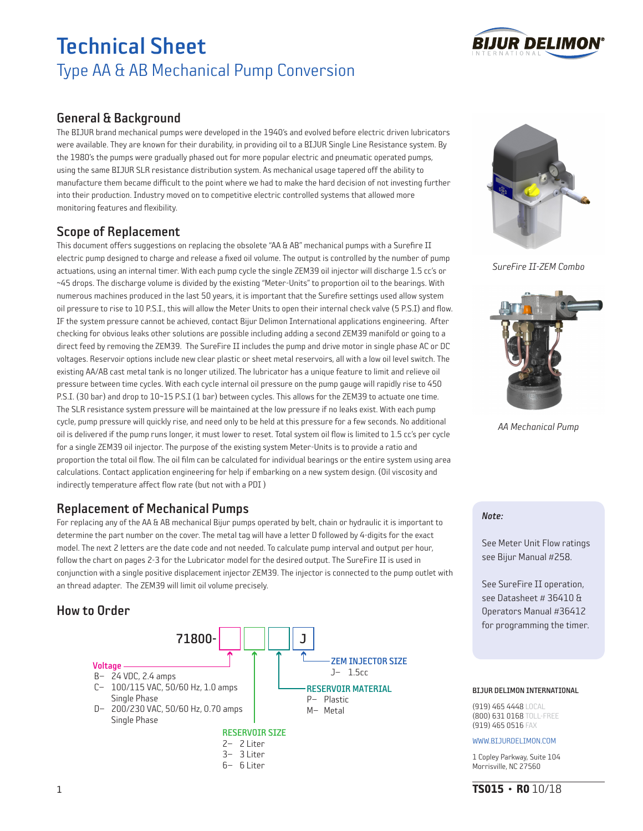

## General & Background

The BIJUR brand mechanical pumps were developed in the 1940's and evolved before electric driven lubricators were available. They are known for their durability, in providing oil to a BIJUR Single Line Resistance system. By the 1980's the pumps were gradually phased out for more popular electric and pneumatic operated pumps, using the same BIJUR SLR resistance distribution system. As mechanical usage tapered off the ability to manufacture them became difficult to the point where we had to make the hard decision of not investing further into their production. Industry moved on to competitive electric controlled systems that allowed more monitoring features and flexibility.

## Scope of Replacement

This document offers suggestions on replacing the obsolete "AA & AB" mechanical pumps with a Surefire II electric pump designed to charge and release a fixed oil volume. The output is controlled by the number of pump actuations, using an internal timer. With each pump cycle the single ZEM39 oil injector will discharge 1.5 cc's or ~45 drops. The discharge volume is divided by the existing "Meter-Units" to proportion oil to the bearings. With numerous machines produced in the last 50 years, it is important that the Surefire settings used allow system oil pressure to rise to 10 P.S.I., this will allow the Meter Units to open their internal check valve (5 P.S.I) and flow. IF the system pressure cannot be achieved, contact Bijur Delimon International applications engineering. After checking for obvious leaks other solutions are possible including adding a second ZEM39 manifold or going to a direct feed by removing the ZEM39. The SureFire II includes the pump and drive motor in single phase AC or DC voltages. Reservoir options include new clear plastic or sheet metal reservoirs, all with a low oil level switch. The existing AA/AB cast metal tank is no longer utilized. The lubricator has a unique feature to limit and relieve oil pressure between time cycles. With each cycle internal oil pressure on the pump gauge will rapidly rise to 450 P.S.I. (30 bar) and drop to 10~15 P.S.I (1 bar) between cycles. This allows for the ZEM39 to actuate one time. The SLR resistance system pressure will be maintained at the low pressure if no leaks exist. With each pump cycle, pump pressure will quickly rise, and need only to be held at this pressure for a few seconds. No additional oil is delivered if the pump runs longer, it must lower to reset. Total system oil flow is limited to 1.5 cc's per cycle for a single ZEM39 oil injector. The purpose of the existing system Meter-Units is to provide a ratio and proportion the total oil flow. The oil film can be calculated for individual bearings or the entire system using area calculations. Contact application engineering for help if embarking on a new system design. (Oil viscosity and indirectly temperature affect flow rate (but not with a PDI )

## Replacement of Mechanical Pumps

For replacing any of the AA & AB mechanical Bijur pumps operated by belt, chain or hydraulic it is important to determine the part number on the cover. The metal tag will have a letter D followed by 4-digits for the exact model. The next 2 letters are the date code and not needed. To calculate pump interval and output per hour, follow the chart on pages 2-3 for the Lubricator model for the desired output. The SureFire II is used in conjunction with a single positive displacement injector ZEM39. The injector is connected to the pump outlet with an thread adapter. The ZEM39 will limit oil volume precisely.

## How to Order







*SureFire II-ZEM Combo*



*AA Mechanical Pump*

### *Note:*

See Meter Unit Flow ratings see Bijur Manual #258.

See SureFire II operation, see Datasheet # 36410 & Operators Manual #36412 for programming the timer.

### BIJUR DELIMON INTERNATIONAL

(919) 465 4448 LOCAL (800) 631 0168 TOLL-FREE (919) 465 0516 FAX

#### WWW.BIJURDELIMON.COM

1 Copley Parkway, Suite 104 Morrisville, NC 27560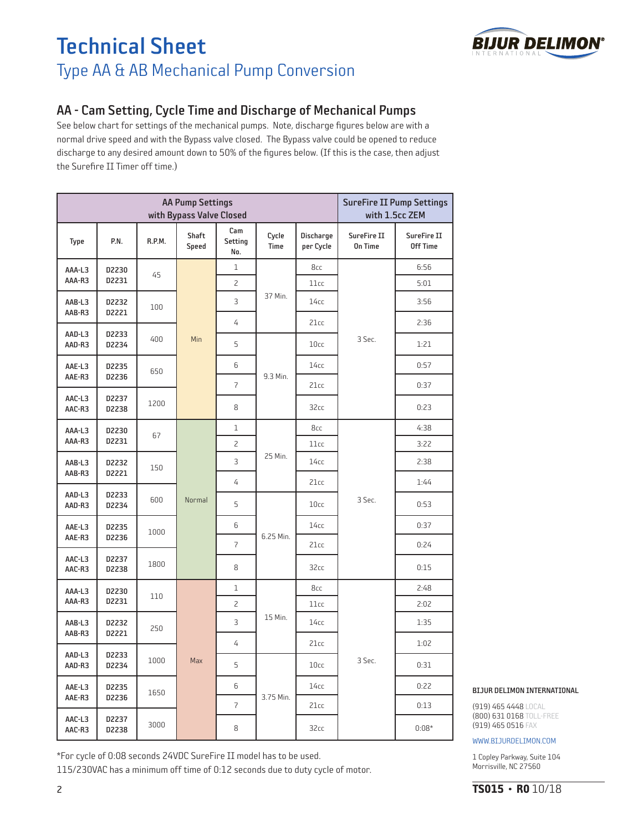

## AA - Cam Setting, Cycle Time and Discharge of Mechanical Pumps

See below chart for settings of the mechanical pumps. Note, discharge figures below are with a normal drive speed and with the Bypass valve closed. The Bypass valve could be opened to reduce discharge to any desired amount down to 50% of the figures below. (If this is the case, then adjust the Surefire II Timer off time.)

|                  |                | <b>SureFire II Pump Settings</b><br>with 1.5cc ZEM |                                                                                  |                       |                                        |                        |                               |                                |
|------------------|----------------|----------------------------------------------------|----------------------------------------------------------------------------------|-----------------------|----------------------------------------|------------------------|-------------------------------|--------------------------------|
| Type             | P.N.           | R.P.M.                                             | <b>Shaft</b><br>Speed                                                            | Cam<br>Setting<br>No. | Cycle<br><b>Time</b>                   | Discharge<br>per Cycle | SureFire II<br><b>On Time</b> | SureFire II<br><b>Off Time</b> |
| AAA-L3           | D2230          | 45                                                 | Min                                                                              | $\mathbf 1$           | 37 Min.                                | 8cc                    | 3 Sec.                        | 6:56                           |
| AAA-R3           | D2231          |                                                    |                                                                                  | $\overline{c}$        |                                        | 11cc                   |                               | 5:01                           |
| AAB-L3           | D2232          | 100                                                |                                                                                  | 3                     |                                        | 14cc                   |                               | 3:56                           |
| AAB-R3           | D2221          |                                                    |                                                                                  | 4                     |                                        | 21cc                   |                               | 2:36                           |
| AAD-L3<br>AAD-R3 | D2233<br>D2234 | 400                                                |                                                                                  | 5                     | 9.3 Min.                               | 10cc                   |                               | 1:21                           |
| AAE-L3           | D2235          | 650                                                |                                                                                  | 6                     |                                        | 14cc                   |                               | 0:57                           |
| AAE-R3           | D2236          |                                                    |                                                                                  | 7                     |                                        | 21cc                   |                               | 0:37                           |
| AAC-L3<br>AAC-R3 | D2237<br>D2238 | 1200                                               |                                                                                  | 8                     |                                        | 32cc                   |                               | 0:23                           |
| AAA-L3           | D2230          | 67                                                 | $\mathbf{1}$<br>2<br>3<br>4<br>Normal<br>5<br>6<br>$\overline{\mathcal{L}}$<br>8 |                       | 25 Min.                                | 8cc                    | 3 Sec.                        | 4:38                           |
| AAA-R3           | D2231          |                                                    |                                                                                  |                       |                                        | 11cc                   |                               | 3:22                           |
| AAB-L3           | D2232          | 150                                                |                                                                                  |                       |                                        | 14cc                   |                               | 2:38                           |
| AAB-R3           | D2221          |                                                    |                                                                                  |                       |                                        | 21cc                   |                               | 1:44                           |
| AAD-L3<br>AAD-R3 | D2233<br>D2234 | 600                                                |                                                                                  |                       |                                        | 10 <sub>cc</sub>       |                               | 0:53                           |
| AAE-L3           | D2235          | 1000                                               |                                                                                  |                       |                                        | 14cc                   |                               | 0:37                           |
| AAE-R3           | D2236          |                                                    |                                                                                  | 6.25 Min.             | 21cc                                   |                        | 0:24                          |                                |
| AAC-L3<br>AAC-R3 | D2237<br>D2238 | 1800                                               |                                                                                  |                       |                                        | 32cc                   |                               | 0:15                           |
| AAA-L3           | D2230          | 110                                                |                                                                                  | $\mathbf 1$           | 8cc<br>11cc<br>15 Min.<br>14cc<br>21cc |                        | 3 Sec.                        | 2:48                           |
| AAA-R3           | D2231          |                                                    |                                                                                  | $\overline{c}$        |                                        |                        |                               | 2:02                           |
| AAB-L3           | D2232          | 250                                                | Max                                                                              | 3                     |                                        |                        |                               | 1:35                           |
| AAB-R3           | D2221          |                                                    |                                                                                  | 4                     |                                        |                        |                               | 1:02                           |
| AAD-L3<br>AAD-R3 | D2233<br>D2234 | 1000                                               |                                                                                  | 5                     |                                        | 10 <sub>cc</sub>       |                               | 0:31                           |
| AAE-L3           | D2235          | 1650                                               |                                                                                  | 6                     |                                        | 14cc                   |                               | 0:22                           |
| AAE-R3           | D2236          |                                                    |                                                                                  | $\overline{7}$        | 3.75 Min.                              | 21cc                   |                               | 0:13                           |
| AAC-L3<br>AAC-R3 | D2237<br>D2238 | 3000                                               |                                                                                  | 8                     |                                        | 32cc                   |                               | $0:08*$                        |

\*For cycle of 0:08 seconds 24VDC SureFire II model has to be used. 115/230VAC has a minimum off time of 0:12 seconds due to duty cycle of motor.

#### BIJUR DELIMON INTERNATIONAL

(919) 465 4448 LOCAL (800) 631 0168 TOLL-FREE (919) 465 0516 FAX

#### WWW.BIJURDELIMON.COM

1 Copley Parkway, Suite 104 Morrisville, NC 27560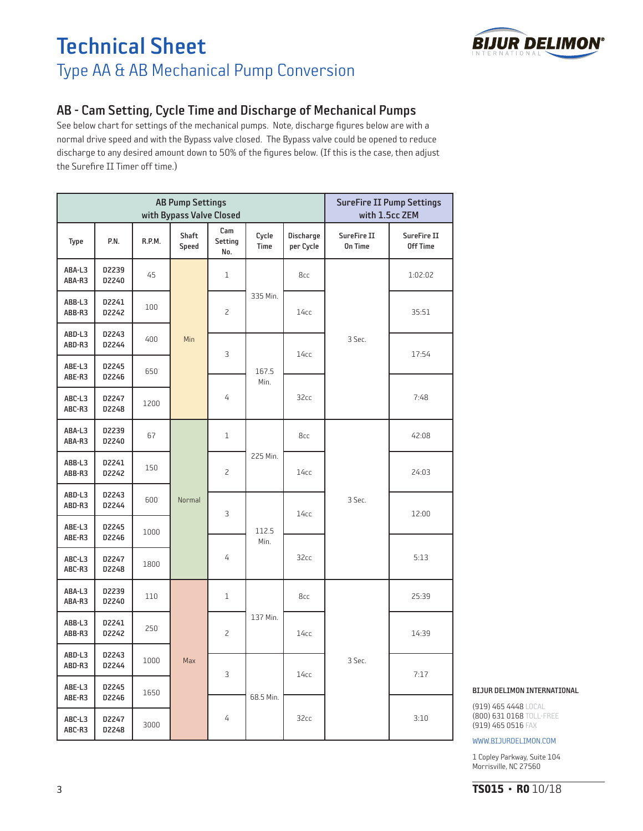

## AB - Cam Setting, Cycle Time and Discharge of Mechanical Pumps

See below chart for settings of the mechanical pumps. Note, discharge figures below are with a normal drive speed and with the Bypass valve closed. The Bypass valve could be opened to reduce discharge to any desired amount down to 50% of the figures below. (If this is the case, then adjust the Surefire II Timer off time.)

|                  |                | <b>AB Pump Settings</b><br>with Bypass Valve Closed | <b>SureFire II Pump Settings</b><br>with 1.5cc ZEM |                       |                      |                        |                               |                                |
|------------------|----------------|-----------------------------------------------------|----------------------------------------------------|-----------------------|----------------------|------------------------|-------------------------------|--------------------------------|
| Type             | P.N.           | R.P.M.                                              | <b>Shaft</b><br>Speed                              | Cam<br>Setting<br>No. | Cycle<br><b>Time</b> | Discharge<br>per Cycle | SureFire II<br><b>On Time</b> | SureFire II<br><b>Off Time</b> |
| ABA-L3<br>ABA-R3 | D2239<br>D2240 | 45                                                  | Min                                                | 1                     | 335 Min.             | 8cc                    | 3 Sec.                        | 1:02:02                        |
| ABB-L3<br>ABB-R3 | D2241<br>D2242 | 100                                                 |                                                    | 2                     |                      | 14cc                   |                               | 35:51                          |
| ABD-L3<br>ABD-R3 | D2243<br>D2244 | 400                                                 |                                                    | 3                     | 167.5<br>Min.        | 14cc                   |                               | 17:54                          |
| ABE-L3<br>ABE-R3 | D2245<br>D2246 | 650                                                 |                                                    |                       |                      |                        |                               |                                |
| ABC-L3<br>ABC-R3 | D2247<br>D2248 | 1200                                                |                                                    | 4                     |                      | 32cc                   |                               | 7:48                           |
| ABA-L3<br>ABA-R3 | D2239<br>D2240 | 67                                                  | Normal                                             | $\mathbf{1}$          | 225 Min.             | 8cc                    | 3 Sec.                        | 42:08                          |
| ABB-L3<br>ABB-R3 | D2241<br>D2242 | 150                                                 |                                                    | 2                     |                      | 14cc                   |                               | 24:03                          |
| ABD-L3<br>ABD-R3 | D2243<br>D2244 | 600                                                 |                                                    | 3                     | 112.5<br>Min.        | 14cc                   |                               | 12:00                          |
| ABE-L3<br>ABE-R3 | D2245<br>D2246 | 1000                                                |                                                    |                       |                      |                        |                               |                                |
| ABC-L3<br>ABC-R3 | D2247<br>D2248 | 1800                                                |                                                    | 4                     |                      | 32cc                   |                               | 5:13                           |
| ABA-L3<br>ABA-R3 | D2239<br>D2240 | 110                                                 | Max                                                | 1                     | 137 Min.             | 8cc                    | 3 Sec.                        | 25:39                          |
| ABB-L3<br>ABB-R3 | D2241<br>D2242 | 250                                                 |                                                    | 2                     |                      | 14cc                   |                               | 14:39                          |
| ABD-L3<br>ABD-R3 | D2243<br>D2244 | 1000                                                |                                                    | 3                     | 68.5 Min.            | 14cc                   |                               | 7:17                           |
| ABE-L3<br>ABE-R3 | D2245<br>D2246 | 1650                                                |                                                    |                       |                      |                        |                               |                                |
| ABC-L3<br>ABC-R3 | D2247<br>D2248 | 3000                                                |                                                    | 4                     |                      | 32cc                   |                               | 3:10                           |

#### BIJUR DELIMON INTERNATIONAL

(919) 465 4448 LOCAL (800) 631 0168 TOLL-FREE (919) 465 0516 FAX

WWW.BIJURDELIMON.COM

1 Copley Parkway, Suite 104 Morrisville, NC 27560